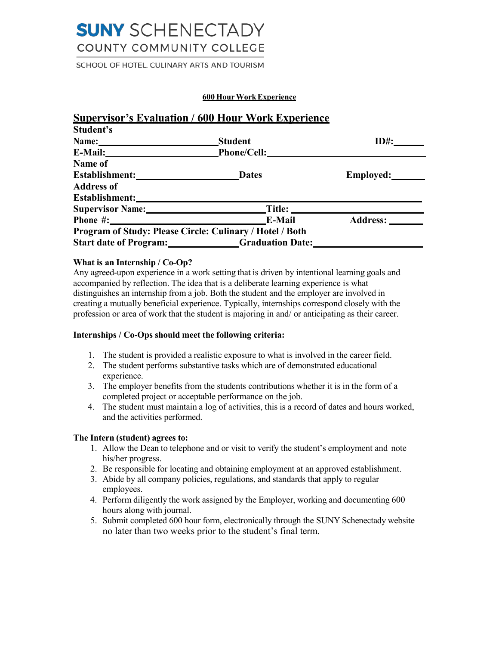# **SUNY** SCHENECTADY COUNTY COMMUNITY COLLEGE

SCHOOL OF HOTEL, CULINARY ARTS AND TOURISM

#### **600 Hour Work Experience**

|                                                          | <b>Supervisor's Evaluation / 600 Hour Work Experience</b> |           |  |
|----------------------------------------------------------|-----------------------------------------------------------|-----------|--|
| Student's                                                |                                                           |           |  |
| Name: Names                                              | Student                                                   | $ID#$ :   |  |
| E-Mail: E-Mail:                                          | Phone/Cell:                                               |           |  |
| Name of                                                  |                                                           |           |  |
|                                                          | <b>Dates</b>                                              | Employed: |  |
| <b>Address of</b>                                        |                                                           |           |  |
| Establishment:                                           |                                                           |           |  |
| Supervisor Name: Title:                                  |                                                           |           |  |
|                                                          | E-Mail                                                    | Address:  |  |
| Program of Study: Please Circle: Culinary / Hotel / Both |                                                           |           |  |
|                                                          | Start date of Program: Graduation Date:                   |           |  |

### **What is an Internship / Co-Op?**

 Any agreed-upon experience in a work setting that is driven by intentional learning goals and accompanied by reflection. The idea that is a deliberate learning experience is what distinguishes an internship from a job. Both the student and the employer are involved in creating a mutually beneficial experience. Typically, internships correspond closely with the profession or area of work that the student is majoring in and/ or anticipating as their career.

#### **Internships / Co-Ops should meet the following criteria:**

- 1. The student is provided a realistic exposure to what is involved in the career field.
- 2. The student performs substantive tasks which are of demonstrated educational experience.
- 3. The employer benefits from the students contributions whether it is in the form of a completed project or acceptable performance on the job.
- 4. The student must maintain a log of activities, this is a record of dates and hours worked, and the activities performed.

### **The Intern (student) agrees to:**

- 1. Allow the Dean to telephone and or visit to verify the student's employment and note his/her progress.
- 2. Be responsible for locating and obtaining employment at an approved establishment.
- 3. Abide by all company policies, regulations, and standards that apply to regular employees.
- 4. Perform diligently the work assigned by the Employer, working and documenting 600 hours along with journal.
- 5. Submit completed 600 hour form, electronically through the SUNY Schenectady website no later than two weeks prior to the student's final term.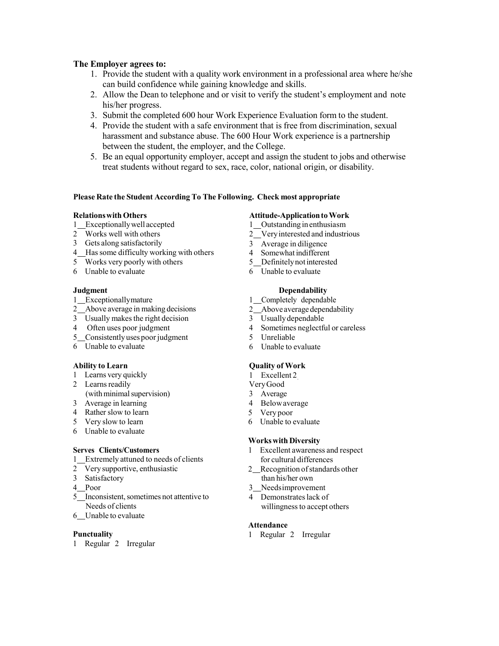### **The Employer agrees to:**

- 1. Provide the student with a quality work environment in a professional area where he/she can build confidence while gaining knowledge and skills.
- 2. Allow the Dean to telephone and or visit to verify the student's employment and note his/her progress.
- 3. Submit the completed 600 hour Work Experience Evaluation form to the student.
- 4. Provide the student with a safe environment that is free from discrimination, sexual harassment and substance abuse. The 600 Hour Work experience is a partnership between the student, the employer, and the College.
- 5. Be an equal opportunity employer, accept and assign the student to jobs and otherwise treat students without regard to sex, race, color, national origin, or disability.

#### **Please Rate the Student According To The Following. Check most appropriate**

### **Relationswith Others**

- 1 Exceptionallywell accepted
- 2 Works well with others
- 3 Gets along satisfactorily
- 4\_Has some difficulty working with others
- 5 Works very poorly with others
- 6 Unable to evaluate

#### **Judgment**

- 1 Exceptionallymature
- 2 Above average in making decisions
- 3 Usually makes the right decision
- 4 Often uses poor judgment
- 5 Consistently uses poor judgment
- 6 Unable to evaluate

#### **Ability to Learn**

- 1 Learns very quickly
- 2 Learns readily
- (with minimal supervision)
- 3 Average in learning
- 4 Rather slow to learn
- 5 Very slow to learn
- 6 Unable to evaluate

#### **Serves Clients/Customers**

- 1 Extremely attuned to needs of clients
- 2 Very supportive, enthusiastic
- $3<sup>1</sup>$ Satisfactory
- 4 Poor
- 5\_Inconsistent, sometimes not attentive to Needs of clients
- 6\_Unable to evaluate

#### **Punctuality**

1 Regular 2 Irregular

- **Attitude-Application to Work**
- 1 Outstanding in enthusiasm
- 2\_Very interested and industrious
- 3 Average in diligence
- 4 Somewhat indifferent 5 Definitely not interested
- 6 Unable to evaluate

#### **Dependability**

- 1 Completely dependable
- 2*Above* average dependability
- 3 Usuallydependable
- 4 Sometimes neglectful or careless
- 5 Unreliable
- 6 Unable to evaluate

#### **Quality of Work**

- 1 Excellent 2
- VeryGood
- 3 Average
- 4 Belowaverage
- 5 Very poor
- 6 Unable to evaluate

#### **Works with Diversity**

- 1 Excellent awareness and respect for cultural differences
- 2\_Recognition of standards other than his/her own
- 3 Needsimprovement
- 4 Demonstrates lack of willingness to accept others

#### **Attendance**

1 Regular 2 Irregular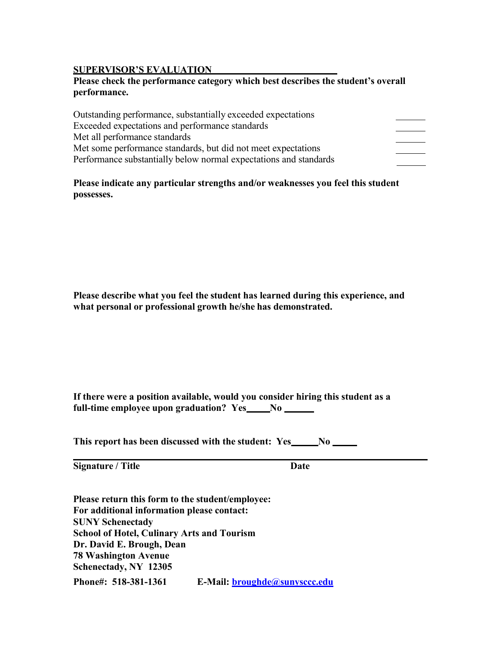# **SUPERVISOR'S EVALUATION**

# **SUPERVISOR'S EVALUATION Please check the performance category which best describes the student's overall performance.**

 **Please indicate any particular strengths and/or weaknesses you feel this student possesses.** 

 **Please describe what you feel the student has learned during this experience, and what personal or professional growth he/she has demonstrated.** 

| If there were a position available, would you consider hiring this student as a |          |  |
|---------------------------------------------------------------------------------|----------|--|
| full-time employee upon graduation? Yes                                         | $\bf No$ |  |

**This report has been discussed with the student: Yes\_\_\_\_\_No** 

**Signature / Title Date Date** 

 **Please return this form to the student/employee: School of Hotel, Culinary Arts and Tourism Dr. David E. Brough, Dean Schenectady, NY 12305 For additional information please contact: SUNY Schenectady 78 Washington Avenue Phone#: 518-381-1361 E-Mail: [broughde@sunysccc.edu](mailto:broughde@sunysccc.edu)**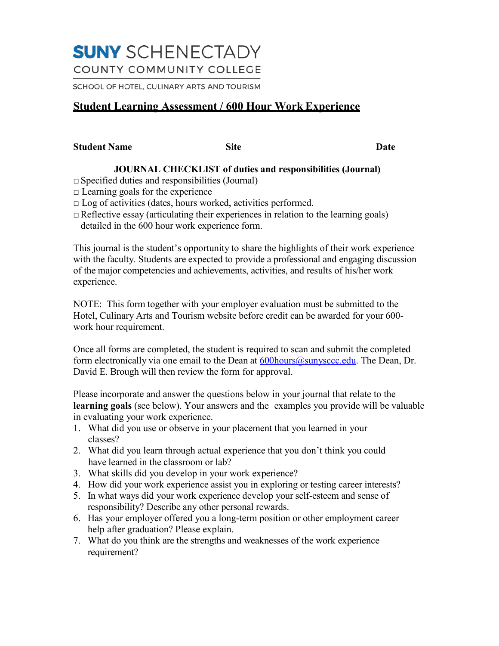# **SUNY** SCHENECTADY COUNTY COMMUNITY COLLEGE

SCHOOL OF HOTEL, CULINARY ARTS AND TOURISM

# **Student Learning Assessment / 600 Hour Work Experience**

**Site Date** Date Date

# **JOURNAL CHECKLIST of duties and responsibilities (Journal)**

- **□**Specified duties and responsibilities (Journal)
- **□** Learning goals for the experience
- **□** Log of activities (dates, hours worked, activities performed.
- **□**Reflective essay (articulating their experiences in relation to the learning goals) detailed in the 600 hour work experience form.

 This journal is the student's opportunity to share the highlights of their work experience with the faculty. Students are expected to provide a professional and engaging discussion of the major competencies and achievements, activities, and results of his/her work experience.

 NOTE: This form together with your employer evaluation must be submitted to the Hotel, Culinary Arts and Tourism website before credit can be awarded for your 600- work hour requirement.

 Once all forms are completed, the student is required to scan and submit the completed form electronically via one email to the Dean at **600hours@sunysccc.edu**. The Dean, Dr. David E. Brough will then review the form for approval.

 Please incorporate and answer the questions below in your journal that relate to the **learning goals** (see below). Your answers and the examples you provide will be valuable in evaluating your work experience.

- 1. What did you use or observe in your placement that you learned in your classes?
- 2. What did you learn through actual experience that you don't think you could have learned in the classroom or lab?
- 3. What skills did you develop in your work experience?
- 4. How did your work experience assist you in exploring or testing career interests?
- 5. In what ways did your work experience develop your self-esteem and sense of responsibility? Describe any other personal rewards.
- 6. Has your employer offered you a long-term position or other employment career help after graduation? Please explain.
- 7. What do you think are the strengths and weaknesses of the work experience requirement?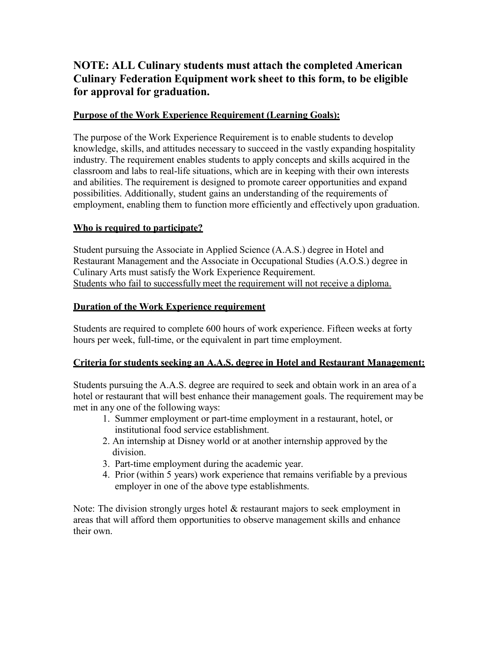# **NOTE: ALL Culinary students must attach the completed American Culinary Federation Equipment work sheet to this form, to be eligible for approval for graduation.**

# **Purpose of the Work Experience Requirement (Learning Goals):**

 The purpose of the Work Experience Requirement is to enable students to develop knowledge, skills, and attitudes necessary to succeed in the vastly expanding hospitality industry. The requirement enables students to apply concepts and skills acquired in the classroom and labs to real-life situations, which are in keeping with their own interests and abilities. The requirement is designed to promote career opportunities and expand possibilities. Additionally, student gains an understanding of the requirements of employment, enabling them to function more efficiently and effectively upon graduation.

# **Who is required to participate?**

 Student pursuing the Associate in Applied Science (A.A.S.) degree in Hotel and Restaurant Management and the Associate in Occupational Studies (A.O.S.) degree in Culinary Arts must satisfy the Work Experience Requirement. Students who fail to successfully meet the requirement will not receive a diploma.

# **Duration of the Work Experience requirement**

 Students are required to complete 600 hours of work experience. Fifteen weeks at forty hours per week, full-time, or the equivalent in part time employment.

# **Criteria for students seeking an A.A.S. degree in Hotel and Restaurant Management:**

 Students pursuing the A.A.S. degree are required to seek and obtain work in an area of a hotel or restaurant that will best enhance their management goals. The requirement may be met in any one of the following ways:

- 1. Summer employment or part-time employment in a restaurant, hotel, or institutional food service establishment.
- 2. An internship at Disney world or at another internship approved by the division.
- 3. Part-time employment during the academic year.
- 4. Prior (within 5 years) work experience that remains verifiable by a previous employer in one of the above type establishments.

 Note: The division strongly urges hotel & restaurant majors to seek employment in areas that will afford them opportunities to observe management skills and enhance their own.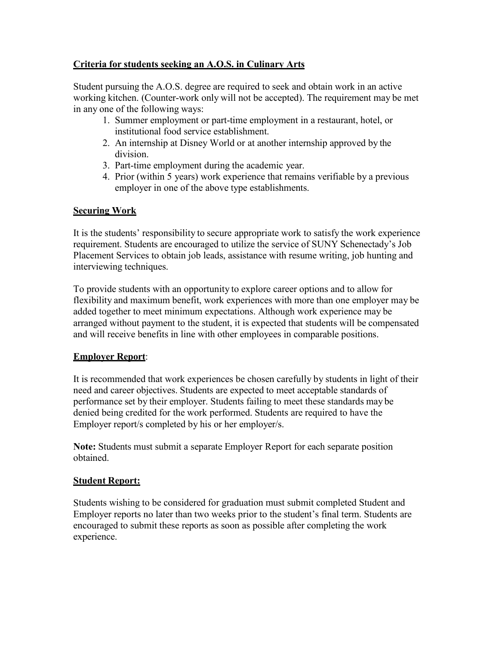# **Criteria for students seeking an A.O.S. in Culinary Arts**

 Student pursuing the A.O.S. degree are required to seek and obtain work in an active working kitchen. (Counter-work only will not be accepted). The requirement may be met in any one of the following ways:

- 1. Summer employment or part-time employment in a restaurant, hotel, or institutional food service establishment.
- 2. An internship at Disney World or at another internship approved by the division.
- 3. Part-time employment during the academic year.
- 4. Prior (within 5 years) work experience that remains verifiable by a previous employer in one of the above type establishments.

# **Securing Work**

 It is the students' responsibility to secure appropriate work to satisfy the work experience requirement. Students are encouraged to utilize the service of SUNY Schenectady's Job Placement Services to obtain job leads, assistance with resume writing, job hunting and interviewing techniques.

 To provide students with an opportunity to explore career options and to allow for flexibility and maximum benefit, work experiences with more than one employer may be added together to meet minimum expectations. Although work experience may be arranged without payment to the student, it is expected that students will be compensated and will receive benefits in line with other employees in comparable positions.

# **Employer Report**:

 It is recommended that work experiences be chosen carefully by students in light of their need and career objectives. Students are expected to meet acceptable standards of performance set by their employer. Students failing to meet these standards may be denied being credited for the work performed. Students are required to have the Employer report/s completed by his or her employer/s.

 **Note:** Students must submit a separate Employer Report for each separate position obtained.

# **Student Report:**

 Students wishing to be considered for graduation must submit completed Student and Employer reports no later than two weeks prior to the student's final term. Students are encouraged to submit these reports as soon as possible after completing the work experience.